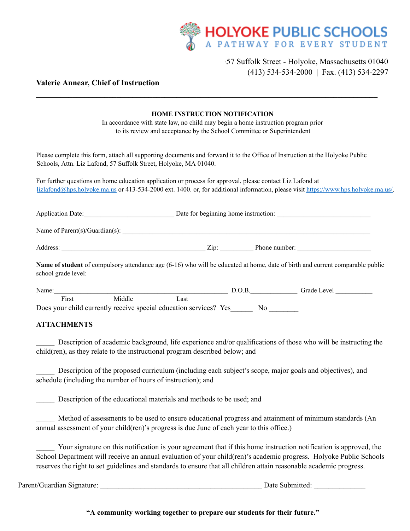

## \ 57 Suffolk Street - Holyoke, Massachusetts 01040 (413) 534-534-2000 | Fax. (413) 534-2297

## **Valerie Annear, Chief of Instruction**

|                     |                                                                                                           |      | <b>HOME INSTRUCTION NOTIFICATION</b>                                              |                                                                                                                                       |  |
|---------------------|-----------------------------------------------------------------------------------------------------------|------|-----------------------------------------------------------------------------------|---------------------------------------------------------------------------------------------------------------------------------------|--|
|                     |                                                                                                           |      | In accordance with state law, no child may begin a home instruction program prior |                                                                                                                                       |  |
|                     |                                                                                                           |      | to its review and acceptance by the School Committee or Superintendent            |                                                                                                                                       |  |
|                     | Schools, Attn. Liz Lafond, 57 Suffolk Street, Holyoke, MA 01040.                                          |      |                                                                                   | Please complete this form, attach all supporting documents and forward it to the Office of Instruction at the Holyoke Public          |  |
|                     | For further questions on home education application or process for approval, please contact Liz Lafond at |      |                                                                                   | $lizlafond@hps.holyoke.ma.us$ or 413-534-2000 ext. 1400. or, for additional information, please visit https://www.hps.holyoke.ma.us/. |  |
|                     |                                                                                                           |      |                                                                                   | Application Date: Date for beginning home instruction:                                                                                |  |
|                     |                                                                                                           |      |                                                                                   |                                                                                                                                       |  |
|                     |                                                                                                           |      |                                                                                   |                                                                                                                                       |  |
| school grade level: |                                                                                                           |      |                                                                                   | Name of student of compulsory attendance age (6-16) who will be educated at home, date of birth and current comparable public         |  |
| Name:               |                                                                                                           |      | D.O.B.                                                                            | Grade Level                                                                                                                           |  |
| First               | Middle                                                                                                    | Last |                                                                                   |                                                                                                                                       |  |

**\_\_\_\_\_\_\_\_\_\_\_\_\_\_\_\_\_\_\_\_\_\_\_\_\_\_\_\_\_\_\_\_\_\_\_\_\_\_\_\_\_\_\_\_\_\_\_\_\_\_\_\_\_\_\_\_\_\_\_\_\_\_\_\_\_\_\_\_\_\_\_\_\_\_\_\_\_\_\_\_\_\_\_\_\_**

Does your child currently receive special education services? Yes No

## **ATTACHMENTS**

Description of academic background, life experience and/or qualifications of those who will be instructing the child(ren), as they relate to the instructional program described below; and

Description of the proposed curriculum (including each subject's scope, major goals and objectives), and schedule (including the number of hours of instruction); and

Description of the educational materials and methods to be used; and

Method of assessments to be used to ensure educational progress and attainment of minimum standards (An annual assessment of your child(ren)'s progress is due June of each year to this office.)

Your signature on this notification is your agreement that if this home instruction notification is approved, the School Department will receive an annual evaluation of your child(ren)'s academic progress. Holyoke Public Schools reserves the right to set guidelines and standards to ensure that all children attain reasonable academic progress.

Parent/Guardian Signature: <br>
Date Submitted: <br>
Date Submitted:

**"A community working together to prepare our students for their future."**